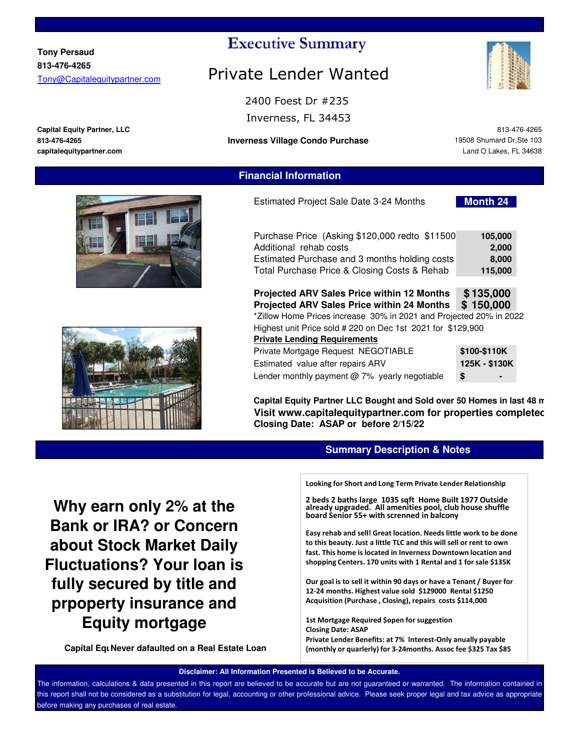**Tony Persaud 813-476-4265** Tony@Capitalequitypartner.com

# **Executive Summary**

# Private Lender Wanted

2400 Foest Dr #235

Inverness, FL 34453

### **813-476-4265 Inverness Village Condo Purchase**

**Financial Information**

19508 Shumard Dr,Ste 103 Land O Lakes, FL 34638 813-476-4265



|                                                                                                                                                                                                 | Estimated Project Sale Date 3-24 Months                                                                                                                                   | <b>Month 24</b>                      |  |
|-------------------------------------------------------------------------------------------------------------------------------------------------------------------------------------------------|---------------------------------------------------------------------------------------------------------------------------------------------------------------------------|--------------------------------------|--|
|                                                                                                                                                                                                 | Purchase Price (Asking \$120,000 redto \$11500<br>Additional rehab costs<br>Estimated Purchase and 3 months holding costs<br>Total Purchase Price & Closing Costs & Rehab | 105,000<br>2,000<br>8,000<br>115,000 |  |
| \$135,000<br>Projected ARV Sales Price within 12 Months<br>\$150,000<br><b>Projected ARV Sales Price within 24 Months</b><br>*Zillow Home Prices increase 30% in 2021 and Projected 20% in 2022 |                                                                                                                                                                           |                                      |  |
|                                                                                                                                                                                                 | Highest unit Price sold # 220 on Dec 1st 2021 for \$129,900<br><b>Private Lending Requirements</b>                                                                        |                                      |  |
|                                                                                                                                                                                                 | Private Mortgage Request NEGOTIABLE                                                                                                                                       | \$100-\$110K                         |  |
|                                                                                                                                                                                                 | Estimated value after repairs ARV                                                                                                                                         | 125K - \$130K                        |  |
|                                                                                                                                                                                                 | Lender monthly payment @ 7% yearly negotiable                                                                                                                             | \$                                   |  |

**Capital Equity Partner LLC Bought and Sold over 50 Homes in last 48 mts Visit www.capitalequitypartner.com for properties completed Closing Date: ASAP or before 2/15/22**

### **Summary Description & Notes**

**Why earn only 2% at the Bank or IRA? or Concern about Stock Market Daily Fluctuations? Your loan is fully secured by title and prpoperty insurance and Equity mortgage**

**Capital EquNever dafaulted on a Real Estate Loan**

Looking for Short and Long Term Private Lender Relationship

2 beds 2 baths large 1035 sqft Home Built 1977 Outside already upgraded. All amenities pool, club house shuffle board Senior 55+ with screnned in balcony

Easy rehab and sell! Great location. Needs little work to be done to this beauty. Just a little TLC and this will sell or rent to own fast. This home is located in Inverness Downtown location and shopping Centers. 170 units with 1 Rental and 1 for sale \$135K

Our goal is to sell it within 90 days or have a Tenant / Buyer for 12-24 months. Highest value sold \$129000 Rental \$1250 Acquisition (Purchase , Closing), repairs costs \$114,000

1st Mortgage Required \$open for suggestion Closing Date: ASAP Private Lender Benefits: at 7% Interest-Only anually payable (monthly or quarlerly) for 3-24months. Assoc fee \$325 Tax \$85

**Disclaimer: All Information Presented is Believed to be Accurate.**

The information, calculations & data presented in this report are believed to be accurate but are not guaranteed or warranted. The information contained in this report shall not be considered as a substitution for legal, accounting or other professional advice. Please seek proper legal and tax advice as appropriate before making any purchases of real estate.

**Capital Equity Partner, LLC capitalequitypartner.com**

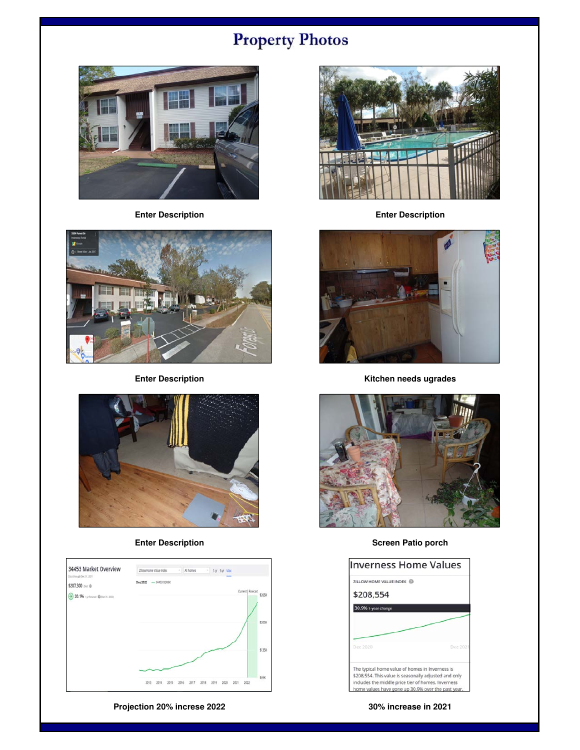# **Property Photos**





**Enter Description**





**Projection 20% increse 2022 30% increase in 2021**



**Enter Description Enter Description**



**Kitchen needs ugrades**



**Enter Description Screen Patio porch** 

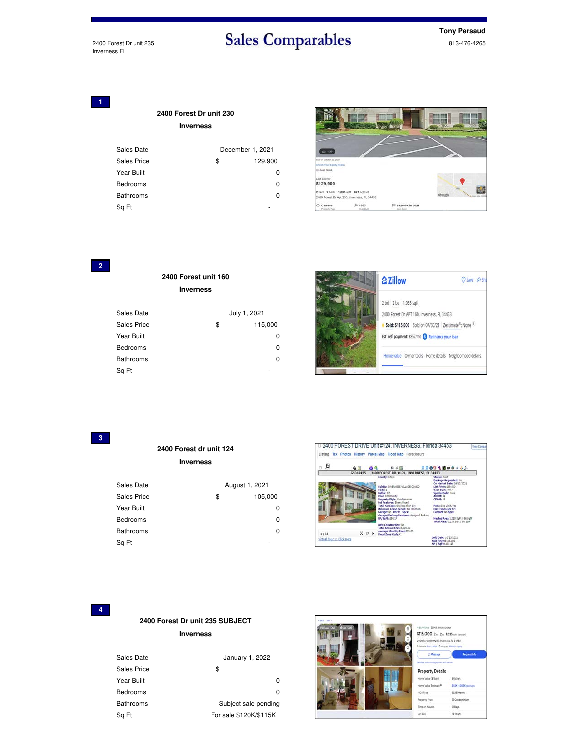### **Tony Persaud** 813-476-4265

**1**

### **Inverness 2400 Forest Dr unit 230**

| Sales Date       | December 1, 2021 |  |
|------------------|------------------|--|
| Sales Price      | \$<br>129,900    |  |
| Year Built       |                  |  |
| Bedrooms         | o                |  |
| <b>Bathrooms</b> | n                |  |
| Sa Ft            |                  |  |



## **2**

### **Inverness 2400 Forest unit 160**

| Sales Date         | July 1, 2021  |
|--------------------|---------------|
| <b>Sales Price</b> | \$<br>115,000 |
| Year Built         | 0             |
| <b>Bedrooms</b>    | 0             |
| <b>Bathrooms</b>   | 0             |
| Sq Ft              |               |



### **3**

### **2400 Forest dr unit 124**

### **Inverness**

| Sales Date       | August 1, 2021 |  |
|------------------|----------------|--|
| Sales Price      | \$<br>105,000  |  |
| Year Built       | 0              |  |
| Bedrooms         | 0              |  |
| <b>Bathrooms</b> | ŋ              |  |
| Sa Ft            |                |  |



### **4**

### **Inverness 2400 Forest Dr unit 235 SUBJECT**

| Sales Date                      | January 1, 2022      |
|---------------------------------|----------------------|
| Sales Price                     | \$                   |
| Year Built                      | 0                    |
| Bedrooms                        | 0                    |
| <b>Bathrooms</b>                | Subject sale pending |
| For sale \$120K/\$115K<br>Sa Ft |                      |



|                                                                | \$115,000 2se 2si 1,035 set annual |
|----------------------------------------------------------------|------------------------------------|
| 2400 Forest Dr #235, Inverness, FL 34453                       |                                    |
| <b>Bristmale Stat - Silbit - Britishinger Stativic - Apply</b> |                                    |
| <b>O</b> Messare                                               | <b>Request Info</b>                |
|                                                                |                                    |
| <b>Property Details</b>                                        |                                    |
| Home Value (\$/Soh)                                            | \$11/Soft                          |
|                                                                |                                    |
| Home Value Estimate <sup>®</sup>                               | STAX - \$155K (sinclar)            |
| HOA Fees                                                       | \$325/Month                        |
| Property Type                                                  | El Condominium                     |

 $754$  Sqt

Lot Size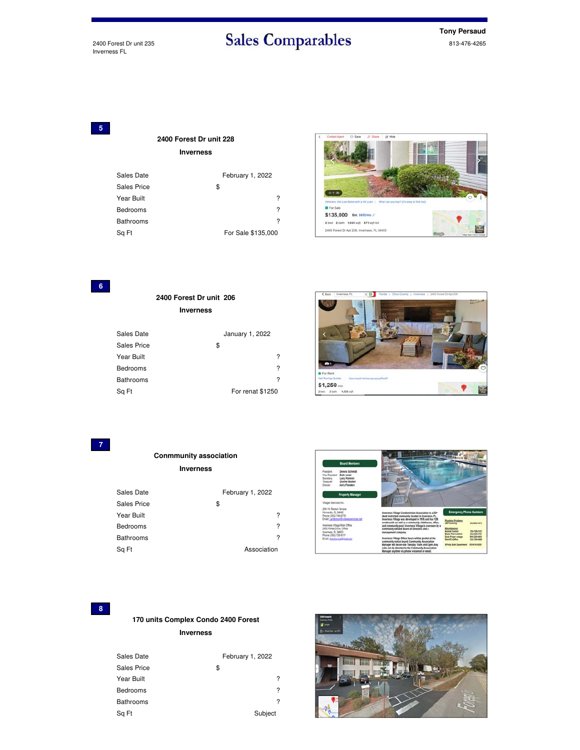2400 Forest Dr unit 235 Inverness FL

# Sales Comparables Tony Persaud

### **5**

**2400 Forest Dr unit 228**

**Inverness**

| Sales Date                  | February 1, 2022 |  |
|-----------------------------|------------------|--|
| Sales Price<br>\$           |                  |  |
| Year Built                  | ?                |  |
| Bedrooms                    | ?                |  |
| <b>Bathrooms</b>            | ?                |  |
| For Sale \$135,000<br>Sq Ft |                  |  |



**6**

**Inverness 2400 Forest Dr unit 206**

| January 1, 2022  |
|------------------|
| \$               |
| ?                |
| ?                |
| ?                |
| For renat \$1250 |
|                  |



**7**

### **Conmmunity association**

**Inverness**

| Sales Date       | February 1, 2022 |
|------------------|------------------|
| Sales Price      | \$               |
| Year Built       | ?                |
| <b>Bedrooms</b>  | ?                |
| <b>Bathrooms</b> | ?                |
| Sq Ft            | Association      |



### **8**

**Inverness 170 units Complex Condo 2400 Forest**

| Sales Date       | February 1, 2022 |
|------------------|------------------|
| Sales Price      | \$               |
| Year Built       | ?                |
| Bedrooms         | ?                |
| <b>Bathrooms</b> | ?                |
| Sa Ft            | Subject          |

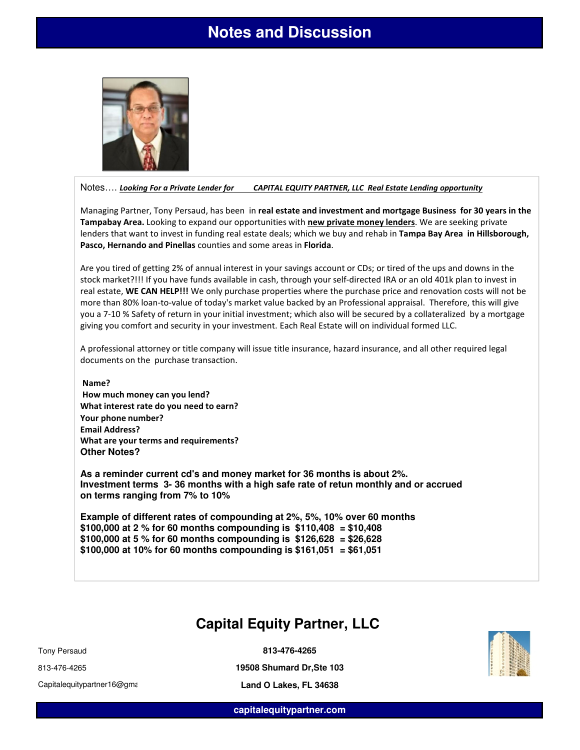# **Notes and Discussion**



### Notes.... Looking For a Private Lender for CAPITAL EQUITY PARTNER, LLC Real Estate Lending opportunity

Managing Partner, Tony Persaud, has been in real estate and investment and mortgage Business for 30 years in the Tampabay Area. Looking to expand our opportunities with new private money lenders. We are seeking private lenders that want to invest in funding real estate deals; which we buy and rehab in Tampa Bay Area in Hillsborough, Pasco, Hernando and Pinellas counties and some areas in Florida.

Are you tired of getting 2% of annual interest in your savings account or CDs; or tired of the ups and downs in the stock market?!!! If you have funds available in cash, through your self-directed IRA or an old 401k plan to invest in real estate, WE CAN HELP!!! We only purchase properties where the purchase price and renovation costs will not be more than 80% loan-to-value of today's market value backed by an Professional appraisal. Therefore, this will give you a 7-10 % Safety of return in your initial investment; which also will be secured by a collateralized by a mortgage giving you comfort and security in your investment. Each Real Estate will on individual formed LLC.

A professional attorney or title company will issue title insurance, hazard insurance, and all other required legal documents on the purchase transaction.

### Name? How much money can you lend? What interest rate do you need to earn? Your phone number? Email Address? What are your terms and requirements? **Other Notes?**

**As a reminder current cd's and money market for 36 months is about 2%. Investment terms 3- 36 months with a high safe rate of retun monthly and or accrued on terms ranging from 7% to 10%** 

**Example of different rates of compounding at 2%, 5%, 10% over 60 months \$100,000 at 2 % for 60 months compounding is \$110,408 = \$10,408 \$100,000 at 5 % for 60 months compounding is \$126,628 = \$26,628 \$100,000 at 10% for 60 months compounding is \$161,051 = \$61,051**

# **Capital Equity Partner, LLC**

Tony Persaud

**813-476-4265**

813-476-4265

Capitalequitypartner16@gma

**19508 Shumard Dr,Ste 103 Land O Lakes, FL 34638**



**capitalequitypartner.com**